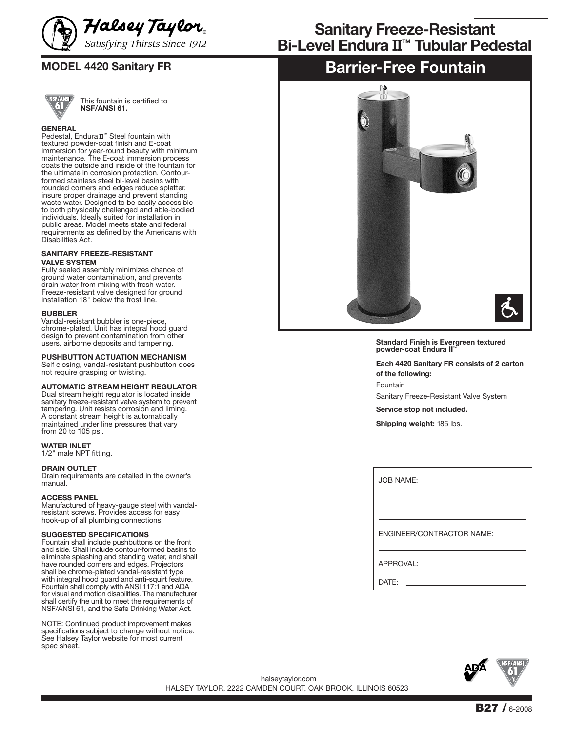

This fountain is certified to **NSF/ANSI 61.**

### **GENERAL**

Pedestal, Endura II<sup>™</sup> Steel fountain with textured powder-coat finish and E-coat immersion for year-round beauty with minimum maintenance. The E-coat immersion process coats the outside and inside of the fountain for the ultimate in corrosion protection. Contourformed stainless steel bi-level basins with rounded corners and edges reduce splatter, insure proper drainage and prevent standing waste water. Designed to be easily accessible to both physically challenged and able-bodied individuals. Ideally suited for installation in public areas. Model meets state and federal requirements as defined by the Americans with Disabilities Act.

#### **SANITARY FREEZE-RESISTANT VALVE SYSTEM**

Fully sealed assembly minimizes chance of ground water contamination, and prevents drain water from mixing with fresh water. Freeze-resistant valve designed for ground installation 18" below the frost line.

#### **BUBBLER**

Vandal-resistant bubbler is one-piece, chrome-plated. Unit has integral hood guard design to prevent contamination from other users, airborne deposits and tampering.

#### **PUSHBUTTON ACTUATION MECHANISM**

Self closing, vandal-resistant pushbutton does not require grasping or twisting.

#### **AUTOMATIC STREAM HEIGHT REGULATOR**

Dual stream height regulator is located inside sanitary freeze-resistant valve system to prevent tampering. Unit resists corrosion and liming. A constant stream height is automatically maintained under line pressures that vary from 20 to 105 psi.

#### **WATER INLET**

1/2" male NPT fitting.

#### **DRAIN OUTLET**

Drain requirements are detailed in the owner's manual.

#### **ACCESS PANEL**

Manufactured of heavy-gauge steel with vandalresistant screws. Provides access for easy hook-up of all plumbing connections.

#### **SUGGESTED SPECIFICATIONS**

Fountain shall include pushbuttons on the front and side. Shall include contour-formed basins to eliminate splashing and standing water, and shall have rounded corners and edges. Projectors shall be chrome-plated vandal-resistant type with integral hood guard and anti-squirt feature. Fountain shall comply with ANSI 117:1 and ADA for visual and motion disabilities. The manufacturer shall certify the unit to meet the requirements of NSF/ANSI 61, and the Safe Drinking Water Act.

NOTE: Continued product improvement makes specifications subject to change without notice. See Halsey Taylor website for most current spec sheet.

# **Bi-Level Endura** II**™ Tubular Pedestal Sanitary Freeze-Resistant**

# **MODEL 4420 Sanitary FR Barrier-Free Fountain**



**Standard Finish is Evergreen textured powder-coat Endura II™**

**Each 4420 Sanitary FR consists of 2 carton of the following: Fountair** 

Sanitary Freeze-Resistant Valve System

**Service stop not included.**

**Shipping weight:** 185 lbs.

| JOB NAME:                        |
|----------------------------------|
|                                  |
| <b>ENGINEER/CONTRACTOR NAME:</b> |
| APPROVAL:                        |
| $\mathsf{DATF}$ :                |